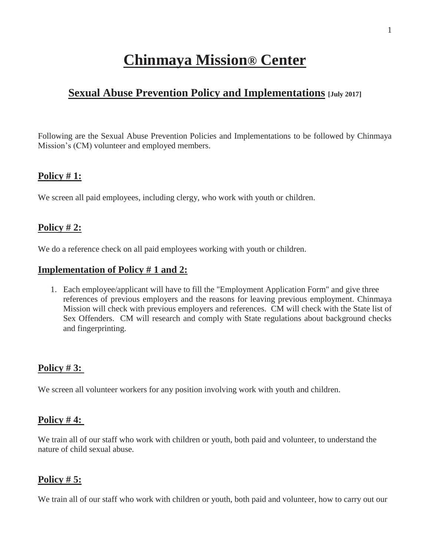# **Chinmaya Mission® Center**

# **<u>Sexual Abuse Prevention Policy and Implementations</u> [July 2017]**

Following are the Sexual Abuse Prevention Policies and Implementations to be followed by Chinmaya Mission's (CM) volunteer and employed members.

# **Policy # 1:**

We screen all paid employees, including clergy, who work with youth or children.

# **Policy # 2:**

We do a reference check on all paid employees working with youth or children.

#### **Implementation of Policy # 1 and 2:**

1. Each employee/applicant will have to fill the "Employment Application Form" and give three references of previous employers and the reasons for leaving previous employment. Chinmaya Mission will check with previous employers and references. CM will check with the State list of Sex Offenders. CM will research and comply with State regulations about background checks and fingerprinting.

# **Policy # 3:**

We screen all volunteer workers for any position involving work with youth and children.

# **Policy # 4:**

We train all of our staff who work with children or youth, both paid and volunteer, to understand the nature of child sexual abuse.

# **Policy # 5:**

We train all of our staff who work with children or youth, both paid and volunteer, how to carry out our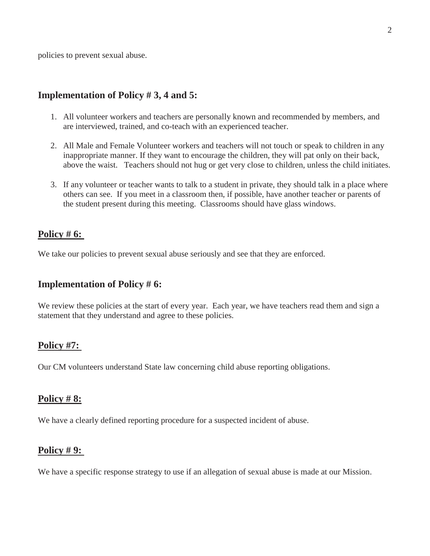policies to prevent sexual abuse.

#### **Implementation of Policy # 3, 4 and 5:**

- 1. All volunteer workers and teachers are personally known and recommended by members, and are interviewed, trained, and co-teach with an experienced teacher.
- 2. All Male and Female Volunteer workers and teachers will not touch or speak to children in any inappropriate manner. If they want to encourage the children, they will pat only on their back, above the waist. Teachers should not hug or get very close to children, unless the child initiates.
- 3. If any volunteer or teacher wants to talk to a student in private, they should talk in a place where others can see. If you meet in a classroom then, if possible, have another teacher or parents of the student present during this meeting. Classrooms should have glass windows.

#### **Policy # 6:**

We take our policies to prevent sexual abuse seriously and see that they are enforced.

#### **Implementation of Policy # 6:**

We review these policies at the start of every year. Each year, we have teachers read them and sign a statement that they understand and agree to these policies.

#### **Policy #7:**

Our CM volunteers understand State law concerning child abuse reporting obligations.

#### **Policy # 8:**

We have a clearly defined reporting procedure for a suspected incident of abuse.

# **Policy # 9:**

We have a specific response strategy to use if an allegation of sexual abuse is made at our Mission.